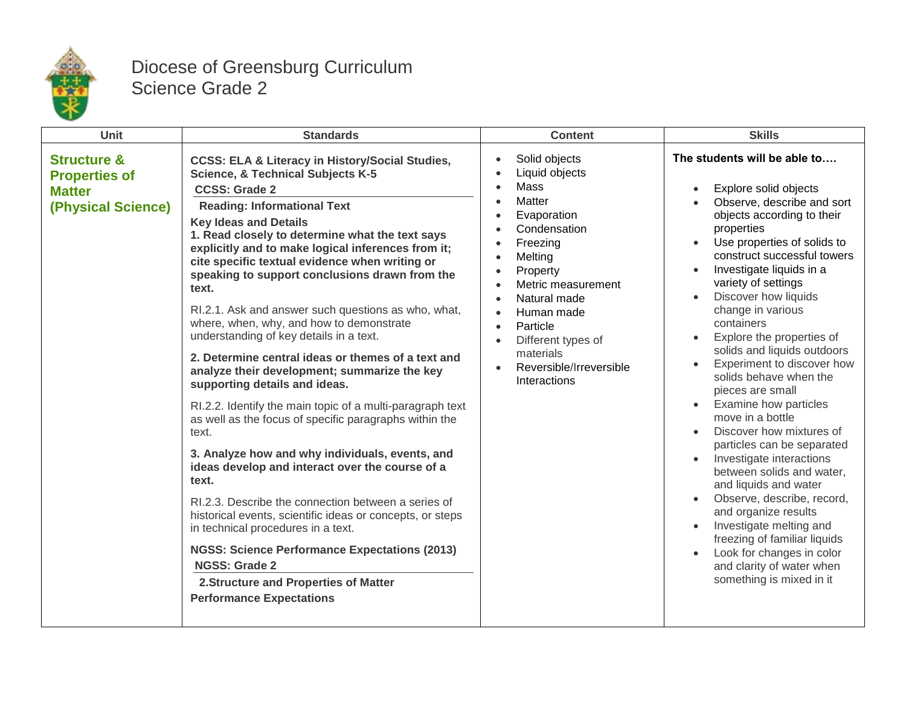

## Diocese of Greensburg Curriculum Science Grade 2

| Unit                                                                                  | <b>Standards</b>                                                                                                                                                                                                                                                                                                                                                                                                                                                                                                                                                                                                                                                                                                                                                                                                                                                                                                                                                                                                                                                                                                                                                                                                                                                                         | <b>Content</b>                                                                                                                                                                                                                                                                                                                                                                                                                             | <b>Skills</b>                                                                                                                                                                                                                                                                                                                                                                                                                                                                                                                                                                                                                                                                                                                                                                                                                                                      |
|---------------------------------------------------------------------------------------|------------------------------------------------------------------------------------------------------------------------------------------------------------------------------------------------------------------------------------------------------------------------------------------------------------------------------------------------------------------------------------------------------------------------------------------------------------------------------------------------------------------------------------------------------------------------------------------------------------------------------------------------------------------------------------------------------------------------------------------------------------------------------------------------------------------------------------------------------------------------------------------------------------------------------------------------------------------------------------------------------------------------------------------------------------------------------------------------------------------------------------------------------------------------------------------------------------------------------------------------------------------------------------------|--------------------------------------------------------------------------------------------------------------------------------------------------------------------------------------------------------------------------------------------------------------------------------------------------------------------------------------------------------------------------------------------------------------------------------------------|--------------------------------------------------------------------------------------------------------------------------------------------------------------------------------------------------------------------------------------------------------------------------------------------------------------------------------------------------------------------------------------------------------------------------------------------------------------------------------------------------------------------------------------------------------------------------------------------------------------------------------------------------------------------------------------------------------------------------------------------------------------------------------------------------------------------------------------------------------------------|
| <b>Structure &amp;</b><br><b>Properties of</b><br><b>Matter</b><br>(Physical Science) | <b>CCSS: ELA &amp; Literacy in History/Social Studies,</b><br><b>Science, &amp; Technical Subjects K-5</b><br><b>CCSS: Grade 2</b><br><b>Reading: Informational Text</b><br><b>Key Ideas and Details</b><br>1. Read closely to determine what the text says<br>explicitly and to make logical inferences from it;<br>cite specific textual evidence when writing or<br>speaking to support conclusions drawn from the<br>text.<br>RI.2.1. Ask and answer such questions as who, what,<br>where, when, why, and how to demonstrate<br>understanding of key details in a text.<br>2. Determine central ideas or themes of a text and<br>analyze their development; summarize the key<br>supporting details and ideas.<br>RI.2.2. Identify the main topic of a multi-paragraph text<br>as well as the focus of specific paragraphs within the<br>text.<br>3. Analyze how and why individuals, events, and<br>ideas develop and interact over the course of a<br>text.<br>RI.2.3. Describe the connection between a series of<br>historical events, scientific ideas or concepts, or steps<br>in technical procedures in a text.<br><b>NGSS: Science Performance Expectations (2013)</b><br><b>NGSS: Grade 2</b><br>2. Structure and Properties of Matter<br><b>Performance Expectations</b> | Solid objects<br>$\bullet$<br>Liquid objects<br>$\bullet$<br>Mass<br>$\bullet$<br>Matter<br>$\bullet$<br>Evaporation<br>$\bullet$<br>Condensation<br>$\bullet$<br>Freezing<br>$\bullet$<br>Melting<br>$\bullet$<br>Property<br>$\bullet$<br>Metric measurement<br>Natural made<br>$\bullet$<br>Human made<br>Particle<br>$\bullet$<br>Different types of<br>$\bullet$<br>materials<br>Reversible/Irreversible<br>$\bullet$<br>Interactions | The students will be able to<br>Explore solid objects<br>$\bullet$<br>Observe, describe and sort<br>objects according to their<br>properties<br>Use properties of solids to<br>construct successful towers<br>Investigate liquids in a<br>variety of settings<br>Discover how liquids<br>change in various<br>containers<br>Explore the properties of<br>solids and liquids outdoors<br>Experiment to discover how<br>solids behave when the<br>pieces are small<br>• Examine how particles<br>move in a bottle<br>Discover how mixtures of<br>particles can be separated<br>Investigate interactions<br>between solids and water,<br>and liquids and water<br>Observe, describe, record,<br>and organize results<br>Investigate melting and<br>freezing of familiar liquids<br>Look for changes in color<br>and clarity of water when<br>something is mixed in it |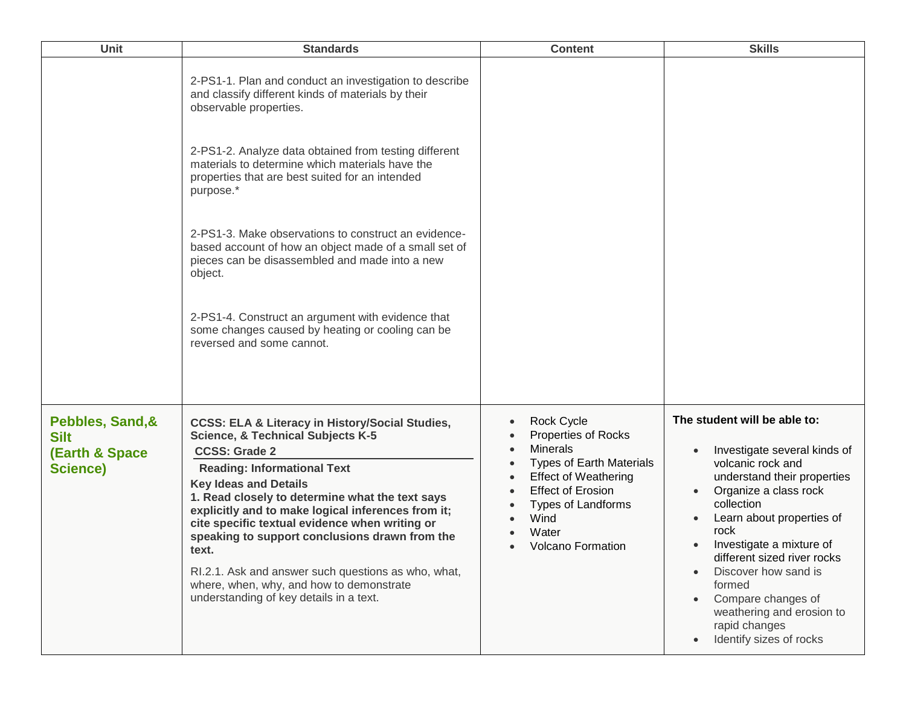| <b>Unit</b>                                                                     | <b>Standards</b>                                                                                                                                                                                                                                                                                                                                                                                                                                                                                                                                                             | <b>Content</b>                                                                                                                                                                                                                                                | <b>Skills</b>                                                                                                                                                                                                                                                                                                                                                                                                      |
|---------------------------------------------------------------------------------|------------------------------------------------------------------------------------------------------------------------------------------------------------------------------------------------------------------------------------------------------------------------------------------------------------------------------------------------------------------------------------------------------------------------------------------------------------------------------------------------------------------------------------------------------------------------------|---------------------------------------------------------------------------------------------------------------------------------------------------------------------------------------------------------------------------------------------------------------|--------------------------------------------------------------------------------------------------------------------------------------------------------------------------------------------------------------------------------------------------------------------------------------------------------------------------------------------------------------------------------------------------------------------|
|                                                                                 | 2-PS1-1. Plan and conduct an investigation to describe<br>and classify different kinds of materials by their<br>observable properties.                                                                                                                                                                                                                                                                                                                                                                                                                                       |                                                                                                                                                                                                                                                               |                                                                                                                                                                                                                                                                                                                                                                                                                    |
|                                                                                 | 2-PS1-2. Analyze data obtained from testing different<br>materials to determine which materials have the<br>properties that are best suited for an intended<br>purpose.*                                                                                                                                                                                                                                                                                                                                                                                                     |                                                                                                                                                                                                                                                               |                                                                                                                                                                                                                                                                                                                                                                                                                    |
|                                                                                 | 2-PS1-3. Make observations to construct an evidence-<br>based account of how an object made of a small set of<br>pieces can be disassembled and made into a new<br>object.                                                                                                                                                                                                                                                                                                                                                                                                   |                                                                                                                                                                                                                                                               |                                                                                                                                                                                                                                                                                                                                                                                                                    |
|                                                                                 | 2-PS1-4. Construct an argument with evidence that<br>some changes caused by heating or cooling can be<br>reversed and some cannot.                                                                                                                                                                                                                                                                                                                                                                                                                                           |                                                                                                                                                                                                                                                               |                                                                                                                                                                                                                                                                                                                                                                                                                    |
| Pebbles, Sand, &<br><b>Silt</b><br><b>(Earth &amp; Space</b><br><b>Science)</b> | <b>CCSS: ELA &amp; Literacy in History/Social Studies,</b><br><b>Science, &amp; Technical Subjects K-5</b><br><b>CCSS: Grade 2</b><br><b>Reading: Informational Text</b><br><b>Key Ideas and Details</b><br>1. Read closely to determine what the text says<br>explicitly and to make logical inferences from it;<br>cite specific textual evidence when writing or<br>speaking to support conclusions drawn from the<br>text.<br>RI.2.1. Ask and answer such questions as who, what,<br>where, when, why, and how to demonstrate<br>understanding of key details in a text. | Rock Cycle<br>$\bullet$<br><b>Properties of Rocks</b><br><b>Minerals</b><br>$\bullet$<br><b>Types of Earth Materials</b><br><b>Effect of Weathering</b><br><b>Effect of Erosion</b><br><b>Types of Landforms</b><br>Wind<br>Water<br><b>Volcano Formation</b> | The student will be able to:<br>Investigate several kinds of<br>$\bullet$<br>volcanic rock and<br>understand their properties<br>Organize a class rock<br>collection<br>Learn about properties of<br>rock<br>Investigate a mixture of<br>$\bullet$<br>different sized river rocks<br>Discover how sand is<br>formed<br>Compare changes of<br>weathering and erosion to<br>rapid changes<br>Identify sizes of rocks |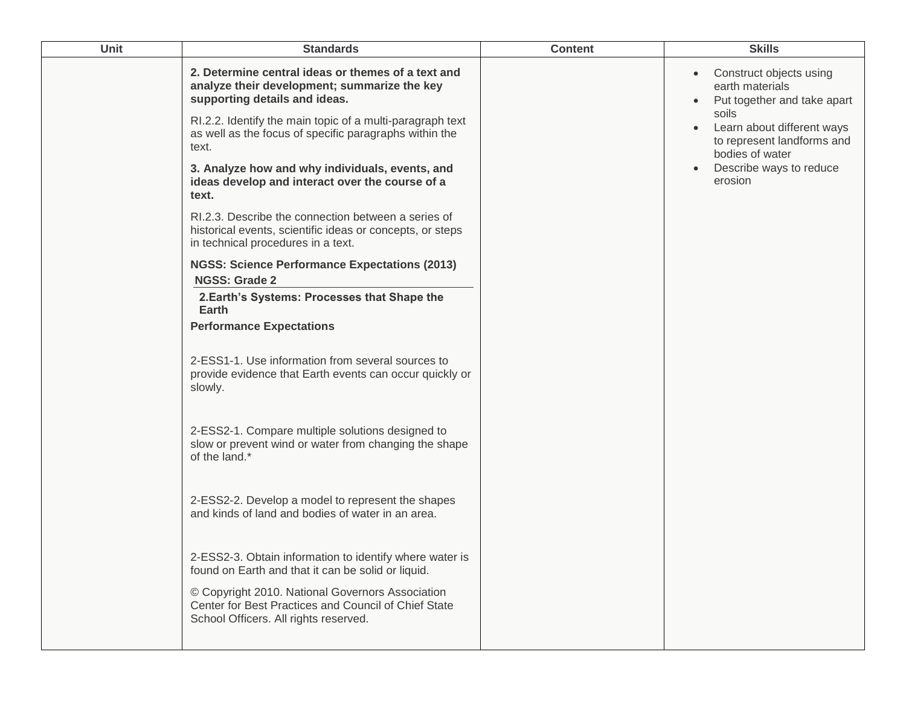| Unit | <b>Standards</b>                                                                                                                                                                                                                                                                                                                                                                                                                                                                                                                                                                                                                                                                                                                                                                                                                                                                                                                                                                                                                                                                                                                                                                                                                                                                                                                                                  | <b>Content</b> | <b>Skills</b>                                                                                                                                                                                                                                  |
|------|-------------------------------------------------------------------------------------------------------------------------------------------------------------------------------------------------------------------------------------------------------------------------------------------------------------------------------------------------------------------------------------------------------------------------------------------------------------------------------------------------------------------------------------------------------------------------------------------------------------------------------------------------------------------------------------------------------------------------------------------------------------------------------------------------------------------------------------------------------------------------------------------------------------------------------------------------------------------------------------------------------------------------------------------------------------------------------------------------------------------------------------------------------------------------------------------------------------------------------------------------------------------------------------------------------------------------------------------------------------------|----------------|------------------------------------------------------------------------------------------------------------------------------------------------------------------------------------------------------------------------------------------------|
|      | 2. Determine central ideas or themes of a text and<br>analyze their development; summarize the key<br>supporting details and ideas.<br>RI.2.2. Identify the main topic of a multi-paragraph text<br>as well as the focus of specific paragraphs within the<br>text.<br>3. Analyze how and why individuals, events, and<br>ideas develop and interact over the course of a<br>text.<br>RI.2.3. Describe the connection between a series of<br>historical events, scientific ideas or concepts, or steps<br>in technical procedures in a text.<br><b>NGSS: Science Performance Expectations (2013)</b><br><b>NGSS: Grade 2</b><br>2. Earth's Systems: Processes that Shape the<br>Earth<br><b>Performance Expectations</b><br>2-ESS1-1. Use information from several sources to<br>provide evidence that Earth events can occur quickly or<br>slowly.<br>2-ESS2-1. Compare multiple solutions designed to<br>slow or prevent wind or water from changing the shape<br>of the land.*<br>2-ESS2-2. Develop a model to represent the shapes<br>and kinds of land and bodies of water in an area.<br>2-ESS2-3. Obtain information to identify where water is<br>found on Earth and that it can be solid or liquid.<br>© Copyright 2010. National Governors Association<br>Center for Best Practices and Council of Chief State<br>School Officers. All rights reserved. |                | Construct objects using<br>$\bullet$<br>earth materials<br>Put together and take apart<br>$\bullet$<br>soils<br>Learn about different ways<br>$\bullet$<br>to represent landforms and<br>bodies of water<br>Describe ways to reduce<br>erosion |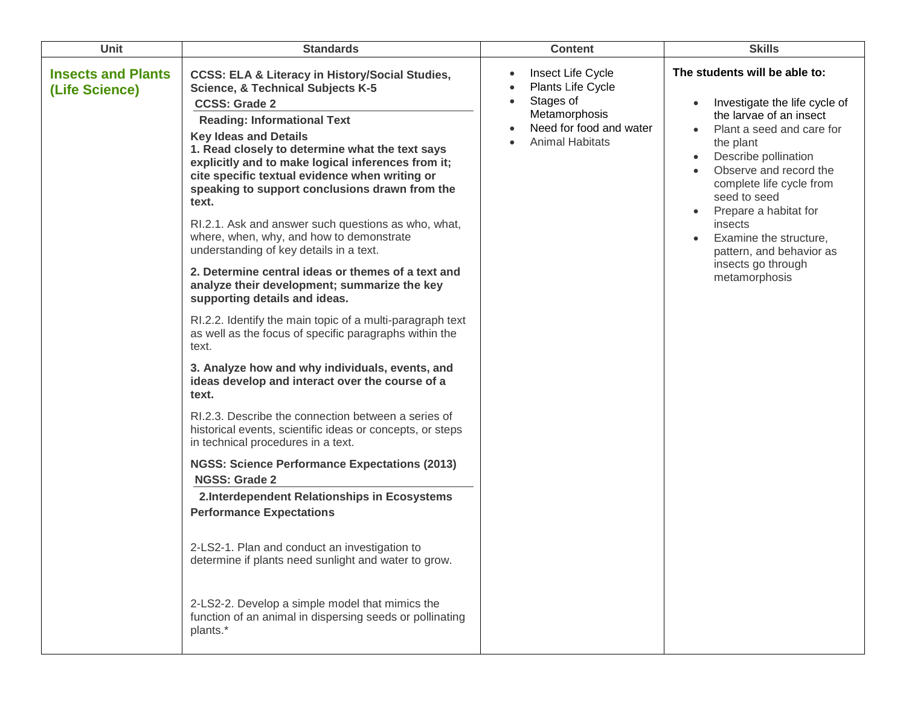| Unit                                        | <b>Standards</b>                                                                                                                                                                                                                                                                                                                                                                                                                                                                                                                                                                                                                                                                                                                                                                                                                                                                                                                                                                                                                                                                                                                                                                                                                                                                                                                                                                                                                                                                                                                    | <b>Content</b>                                                                                                            | <b>Skills</b>                                                                                                                                                                                                                                                                                                                                                                                                          |
|---------------------------------------------|-------------------------------------------------------------------------------------------------------------------------------------------------------------------------------------------------------------------------------------------------------------------------------------------------------------------------------------------------------------------------------------------------------------------------------------------------------------------------------------------------------------------------------------------------------------------------------------------------------------------------------------------------------------------------------------------------------------------------------------------------------------------------------------------------------------------------------------------------------------------------------------------------------------------------------------------------------------------------------------------------------------------------------------------------------------------------------------------------------------------------------------------------------------------------------------------------------------------------------------------------------------------------------------------------------------------------------------------------------------------------------------------------------------------------------------------------------------------------------------------------------------------------------------|---------------------------------------------------------------------------------------------------------------------------|------------------------------------------------------------------------------------------------------------------------------------------------------------------------------------------------------------------------------------------------------------------------------------------------------------------------------------------------------------------------------------------------------------------------|
| <b>Insects and Plants</b><br>(Life Science) | <b>CCSS: ELA &amp; Literacy in History/Social Studies,</b><br><b>Science, &amp; Technical Subjects K-5</b><br><b>CCSS: Grade 2</b><br><b>Reading: Informational Text</b><br><b>Key Ideas and Details</b><br>1. Read closely to determine what the text says<br>explicitly and to make logical inferences from it;<br>cite specific textual evidence when writing or<br>speaking to support conclusions drawn from the<br>text.<br>RI.2.1. Ask and answer such questions as who, what,<br>where, when, why, and how to demonstrate<br>understanding of key details in a text.<br>2. Determine central ideas or themes of a text and<br>analyze their development; summarize the key<br>supporting details and ideas.<br>RI.2.2. Identify the main topic of a multi-paragraph text<br>as well as the focus of specific paragraphs within the<br>text.<br>3. Analyze how and why individuals, events, and<br>ideas develop and interact over the course of a<br>text.<br>RI.2.3. Describe the connection between a series of<br>historical events, scientific ideas or concepts, or steps<br>in technical procedures in a text.<br><b>NGSS: Science Performance Expectations (2013)</b><br><b>NGSS: Grade 2</b><br>2.Interdependent Relationships in Ecosystems<br><b>Performance Expectations</b><br>2-LS2-1. Plan and conduct an investigation to<br>determine if plants need sunlight and water to grow.<br>2-LS2-2. Develop a simple model that mimics the<br>function of an animal in dispersing seeds or pollinating<br>plants.* | Insect Life Cycle<br>Plants Life Cycle<br>Stages of<br>Metamorphosis<br>Need for food and water<br><b>Animal Habitats</b> | The students will be able to:<br>Investigate the life cycle of<br>$\bullet$<br>the larvae of an insect<br>Plant a seed and care for<br>the plant<br>Describe pollination<br>$\bullet$<br>Observe and record the<br>complete life cycle from<br>seed to seed<br>Prepare a habitat for<br>$\bullet$<br>insects<br>Examine the structure,<br>$\bullet$<br>pattern, and behavior as<br>insects go through<br>metamorphosis |